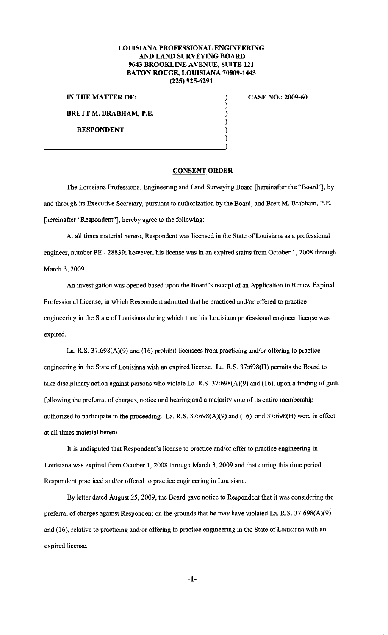## **LOUISIANA PROFESSIONAL ENGINEERING AND LAND SURVEYING BOARD 9643 BROOKLINE A VENUE, SUITE 121 BATON ROUGE, LOUISIANA 70809-1443 (225) 925-6291**

**IN THE MATTER OF:** ) **BRETT M. BRABHAM, P.E.** 

**RESPONDENT** 

## **CASE NO.: 2009-60**

**CONSENT ORDER** 

 $\overline{\mathbf{)}$ ) ) ) )

The Louisiana Professional Engineering and Land Surveying Board [hereinafter the "Board"], by and through its Executive Secretary, pursuant to authorization by the Board, and Brett M. Brabham, P.E. [hereinafter "Respondent"], hereby agree to the following:

At all times material hereto, Respondent was licensed in the State of Louisiana as a professional engineer, number PE - 28839; however, his license was in an expired status from October I, 2008 through March 3, 2009.

An investigation was opened based upon the Board's receipt of an Application to Renew Expired Professional License, in which Respondent admitted that he practiced and/or offered to practice engineering in the State of Louisiana during which time his Louisiana professional engineer license was expired.

La. R.S. 37:698(A)(9) and (16) prohibit licensees from practicing and/or offering to practice engineering in the State of Louisiana with an expired license. La. R.S. 37:698(H) permits the Board to take disciplinary action against persons who violate La. R.S. 37:698(A)(9) and (16), upon a finding of guilt following the preferral of charges, notice and hearing and a majority vote of its entire membership authorized to participate in the proceeding. La. R.S. 37:698(A)(9) and (16) and 37:698(H) were in effect at all times material hereto.

It is undisputed that Respondent's license to practice and/or offer to practice engineering in Louisiana was expired from October I, 2008 through March 3, 2009 and that during this time period Respondent practiced and/or offered to practice engineering in Louisiana.

By letter dated August 25, 2009, the Board gave notice to Respondent that it was considering the preferral of charges against Respondent on the grounds that he may have violated La. R.S. 37:698(A)(9) and (16), relative to practicing and/or offering to practice engineering in the State of Louisiana with an expired license.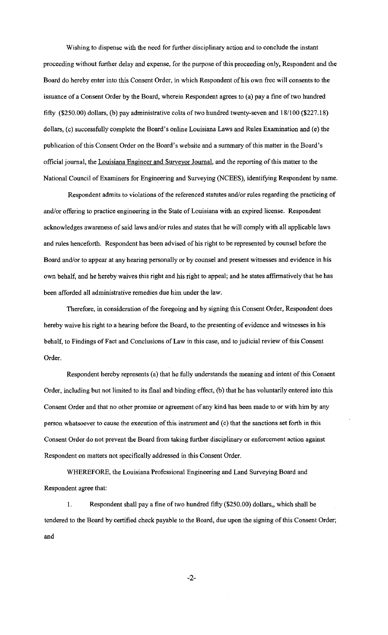Wishing to dispense with the need for further disciplinary action and to conclude the instant proceeding without further delay and expense, for the purpose of this proceeding only, Respondent and the Board do hereby enter into this Consent Order, in which Respondent of his own free will consents to the issuance of a Consent Order by the Board, wherein Respondent agrees to (a) pay a fine of two hundred fifty (\$250.00) dollars, (b) pay administrative costs of two hundred twenty-seven and 18/100 (\$227.18) dollars, (c) successfully complete the Board's online Louisiana Laws and Rules Examination and (e) the publication of this Consent Order on the Board's website and a summary of this matter in the Board's official journal, the Louisiana Engineer and Surveyor Journal, and the reporting of this matter to the National Council of Examiners for Engineering and Surveying (NCEES), identifying Respondent by name.

Respondent admits to violations of the referenced statutes and/or rules regarding the practicing of and/or offering to practice engineering in the State of Louisiana with an expired license. Respondent acknowledges awareness of said laws and/or rules and states that he will comply with all applicable laws and rules henceforth. Respondent has been advised of his right to be represented by counsel before the Board and/or to appear at any hearing personally or by counsel and present witnesses and evidence in his own behalf, and he hereby waives this right and his right to appeal; and he states affirmatively that he has been afforded all administrative remedies due him under the law.

Therefore, in consideration of the foregoing and by signing this Consent Order, Respondent does hereby waive his right to a hearing before the Board, to the presenting of evidence and witnesses in his behalf, to Findings of Fact and Conclusions of Law in this case, and to judicial review of this Consent Order.

Respondent hereby represents (a) that he fully understands the meaning and intent of this Consent Order, including but not limited to its final and binding effect, (b) that he has voluntarily entered into this Consent Order and that no other promise or agreement of any kind has been made to or with him by any person whatsoever to cause the execution of this instrument and (c) that the sanctions set forth in this Consent Order do not prevent the Board from taking further disciplinary or enforcement action against Respondent on matters not specifically addressed in this Consent Order.

WHEREFORE, the Louisiana Professional Engineering and Land Surveying Board and Respondent agree that:

I. Respondent shall pay a fine of two hundred fifty (\$250.00) dollars, which shall be tendered to the Board by certified check payable to the Board, due upon the signing of this Consent Order; and

-2-